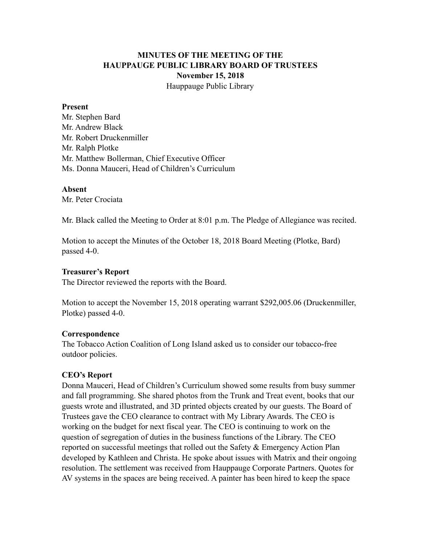# **MINUTES OF THE MEETING OF THE HAUPPAUGE PUBLIC LIBRARY BOARD OF TRUSTEES November 15, 2018** Hauppauge Public Library

#### **Present**

Mr. Stephen Bard Mr. Andrew Black Mr. Robert Druckenmiller Mr. Ralph Plotke Mr. Matthew Bollerman, Chief Executive Officer Ms. Donna Mauceri, Head of Children's Curriculum

#### **Absent**

Mr. Peter Crociata

Mr. Black called the Meeting to Order at 8:01 p.m. The Pledge of Allegiance was recited.

Motion to accept the Minutes of the October 18, 2018 Board Meeting (Plotke, Bard) passed 4-0.

### **Treasurer's Report**

The Director reviewed the reports with the Board.

Motion to accept the November 15, 2018 operating warrant \$292,005.06 (Druckenmiller, Plotke) passed 4-0.

### **Correspondence**

The Tobacco Action Coalition of Long Island asked us to consider our tobacco-free outdoor policies.

### **CEO's Report**

Donna Mauceri, Head of Children's Curriculum showed some results from busy summer and fall programming. She shared photos from the Trunk and Treat event, books that our guests wrote and illustrated, and 3D printed objects created by our guests. The Board of Trustees gave the CEO clearance to contract with My Library Awards. The CEO is working on the budget for next fiscal year. The CEO is continuing to work on the question of segregation of duties in the business functions of the Library. The CEO reported on successful meetings that rolled out the Safety & Emergency Action Plan developed by Kathleen and Christa. He spoke about issues with Matrix and their ongoing resolution. The settlement was received from Hauppauge Corporate Partners. Quotes for AV systems in the spaces are being received. A painter has been hired to keep the space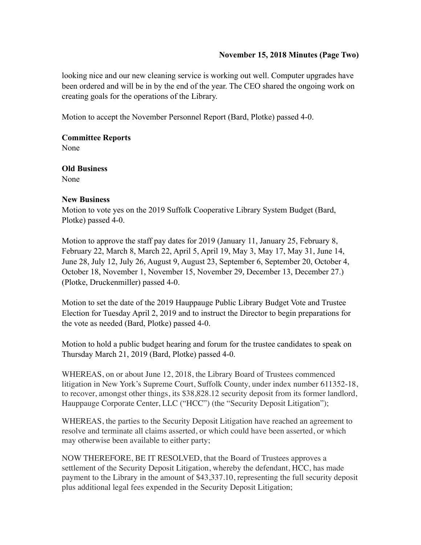## **November 15, 2018 Minutes (Page Two)**

looking nice and our new cleaning service is working out well. Computer upgrades have been ordered and will be in by the end of the year. The CEO shared the ongoing work on creating goals for the operations of the Library.

Motion to accept the November Personnel Report (Bard, Plotke) passed 4-0.

**Committee Reports**  None

**Old Business**  None

## **New Business**

Motion to vote yes on the 2019 Suffolk Cooperative Library System Budget (Bard, Plotke) passed 4-0.

Motion to approve the staff pay dates for 2019 (January 11, January 25, February 8, February 22, March 8, March 22, April 5, April 19, May 3, May 17, May 31, June 14, June 28, July 12, July 26, August 9, August 23, September 6, September 20, October 4, October 18, November 1, November 15, November 29, December 13, December 27.) (Plotke, Druckenmiller) passed 4-0.

Motion to set the date of the 2019 Hauppauge Public Library Budget Vote and Trustee Election for Tuesday April 2, 2019 and to instruct the Director to begin preparations for the vote as needed (Bard, Plotke) passed 4-0.

Motion to hold a public budget hearing and forum for the trustee candidates to speak on Thursday March 21, 2019 (Bard, Plotke) passed 4-0.

WHEREAS, on or about June 12, 2018, the Library Board of Trustees commenced litigation in New York's Supreme Court, Suffolk County, under index number 611352-18, to recover, amongst other things, its \$38,828.12 security deposit from its former landlord, Hauppauge Corporate Center, LLC ("HCC") (the "Security Deposit Litigation");

WHEREAS, the parties to the Security Deposit Litigation have reached an agreement to resolve and terminate all claims asserted, or which could have been asserted, or which may otherwise been available to either party;

NOW THEREFORE, BE IT RESOLVED, that the Board of Trustees approves a settlement of the Security Deposit Litigation, whereby the defendant, HCC, has made payment to the Library in the amount of \$43,337.10, representing the full security deposit plus additional legal fees expended in the Security Deposit Litigation;